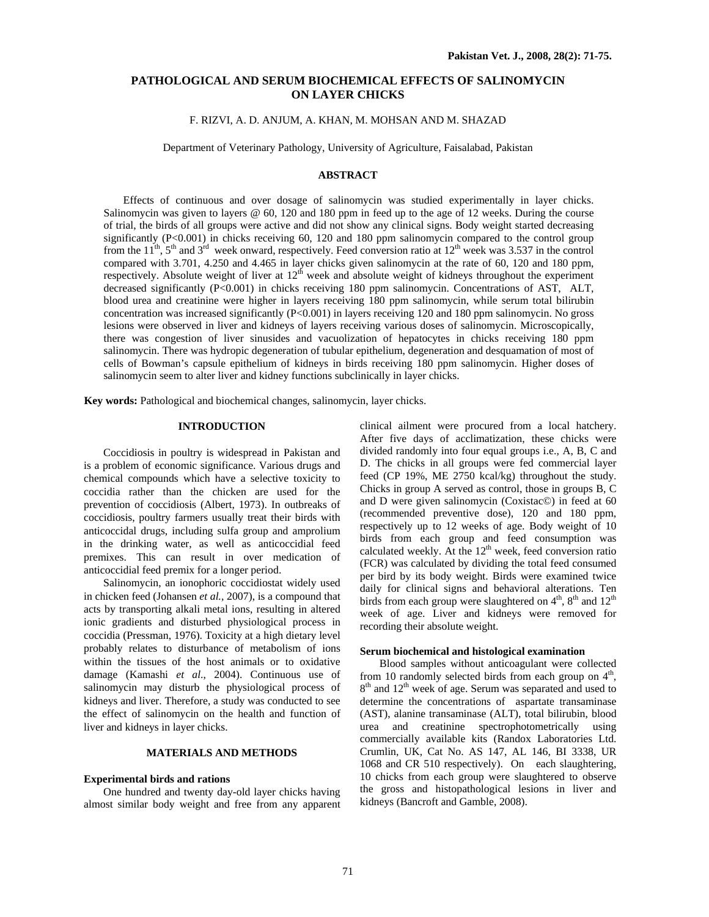# **PATHOLOGICAL AND SERUM BIOCHEMICAL EFFECTS OF SALINOMYCIN ON LAYER CHICKS**

# F. RIZVI, A. D. ANJUM, A. KHAN, M. MOHSAN AND M. SHAZAD

Department of Veterinary Pathology, University of Agriculture, Faisalabad, Pakistan

## **ABSTRACT**

Effects of continuous and over dosage of salinomycin was studied experimentally in layer chicks. Salinomycin was given to layers @ 60, 120 and 180 ppm in feed up to the age of 12 weeks. During the course of trial, the birds of all groups were active and did not show any clinical signs. Body weight started decreasing significantly  $(P<0.001)$  in chicks receiving 60, 120 and 180 ppm salinomycin compared to the control group from the  $11^{th}$ ,  $5^{th}$  and  $3^{rd}$  week onward, respectively. Feed conversion ratio at  $12^{th}$  week was 3.537 in the control compared with 3.701, 4.250 and 4.465 in layer chicks given salinomycin at the rate of 60, 120 and 180 ppm, respectively. Absolute weight of liver at  $12<sup>th</sup>$  week and absolute weight of kidneys throughout the experiment decreased significantly (P<0.001) in chicks receiving 180 ppm salinomycin. Concentrations of AST, ALT, blood urea and creatinine were higher in layers receiving 180 ppm salinomycin, while serum total bilirubin concentration was increased significantly (P<0.001) in layers receiving 120 and 180 ppm salinomycin. No gross lesions were observed in liver and kidneys of layers receiving various doses of salinomycin. Microscopically, there was congestion of liver sinusides and vacuolization of hepatocytes in chicks receiving 180 ppm salinomycin. There was hydropic degeneration of tubular epithelium, degeneration and desquamation of most of cells of Bowman's capsule epithelium of kidneys in birds receiving 180 ppm salinomycin. Higher doses of salinomycin seem to alter liver and kidney functions subclinically in layer chicks.

**Key words:** Pathological and biochemical changes, salinomycin, layer chicks.

### **INTRODUCTION**

Coccidiosis in poultry is widespread in Pakistan and is a problem of economic significance. Various drugs and chemical compounds which have a selective toxicity to coccidia rather than the chicken are used for the prevention of coccidiosis (Albert, 1973). In outbreaks of coccidiosis, poultry farmers usually treat their birds with anticoccidal drugs, including sulfa group and amprolium in the drinking water, as well as anticoccidial feed premixes. This can result in over medication of anticoccidial feed premix for a longer period.

Salinomycin, an ionophoric coccidiostat widely used in chicken feed (Johansen *et al.,* 2007), is a compound that acts by transporting alkali metal ions, resulting in altered ionic gradients and disturbed physiological process in coccidia (Pressman, 1976). Toxicity at a high dietary level probably relates to disturbance of metabolism of ions within the tissues of the host animals or to oxidative damage (Kamashi *et al*., 2004). Continuous use of salinomycin may disturb the physiological process of kidneys and liver. Therefore, a study was conducted to see the effect of salinomycin on the health and function of liver and kidneys in layer chicks.

## **MATERIALS AND METHODS**

#### **Experimental birds and rations**

One hundred and twenty day-old layer chicks having almost similar body weight and free from any apparent clinical ailment were procured from a local hatchery. After five days of acclimatization, these chicks were divided randomly into four equal groups i.e., A, B, C and D. The chicks in all groups were fed commercial layer feed (CP 19%, ME 2750 kcal/kg) throughout the study. Chicks in group A served as control, those in groups B, C and D were given salinomycin (Coxistac©) in feed at 60 (recommended preventive dose), 120 and 180 ppm, respectively up to 12 weeks of age. Body weight of 10 birds from each group and feed consumption was calculated weekly. At the  $12<sup>th</sup>$  week, feed conversion ratio (FCR) was calculated by dividing the total feed consumed per bird by its body weight. Birds were examined twice daily for clinical signs and behavioral alterations. Ten birds from each group were slaughtered on  $4<sup>th</sup>$ ,  $8<sup>th</sup>$  and  $12<sup>th</sup>$ week of age. Liver and kidneys were removed for recording their absolute weight.

### **Serum biochemical and histological examination**

Blood samples without anticoagulant were collected from 10 randomly selected birds from each group on  $4<sup>th</sup>$ , 8<sup>th</sup> and 12<sup>th</sup> week of age. Serum was separated and used to determine the concentrations of aspartate transaminase (AST), alanine transaminase (ALT), total bilirubin, blood urea and creatinine spectrophotometrically using commercially available kits (Randox Laboratories Ltd. Crumlin, UK, Cat No. AS 147, AL 146, BI 3338, UR 1068 and CR 510 respectively). On each slaughtering, 10 chicks from each group were slaughtered to observe the gross and histopathological lesions in liver and kidneys (Bancroft and Gamble, 2008).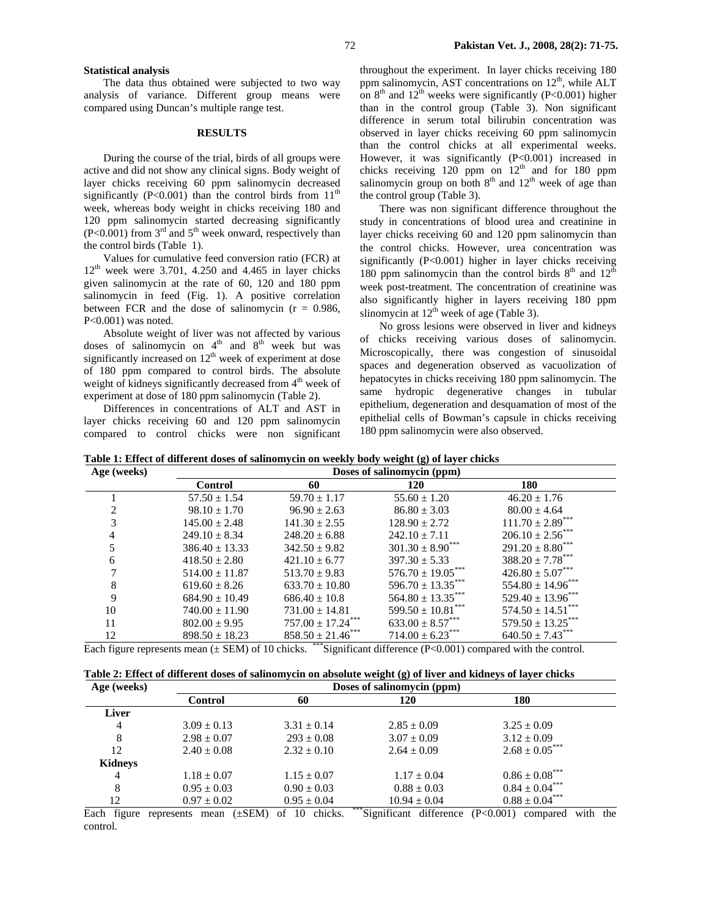## 72 **Pakistan Vet. J., 2008, 28(2): 71-75.**

### **Statistical analysis**

The data thus obtained were subjected to two way analysis of variance. Different group means were compared using Duncan's multiple range test.

#### **RESULTS**

During the course of the trial, birds of all groups were active and did not show any clinical signs. Body weight of layer chicks receiving 60 ppm salinomycin decreased significantly (P<0.001) than the control birds from  $11<sup>th</sup>$ week, whereas body weight in chicks receiving 180 and 120 ppm salinomycin started decreasing significantly  $(P<0.001)$  from 3<sup>rd</sup> and 5<sup>th</sup> week onward, respectively than the control birds (Table 1).

Values for cumulative feed conversion ratio (FCR) at  $12<sup>th</sup>$  week were 3.701, 4.250 and 4.465 in layer chicks given salinomycin at the rate of 60, 120 and 180 ppm salinomycin in feed (Fig. 1). A positive correlation between FCR and the dose of salinomycin  $(r = 0.986,$ P<0.001) was noted.

Absolute weight of liver was not affected by various doses of salinomycin on  $4<sup>th</sup>$  and  $8<sup>th</sup>$  week but was significantly increased on  $12<sup>th</sup>$  week of experiment at dose of 180 ppm compared to control birds. The absolute weight of kidneys significantly decreased from 4<sup>th</sup> week of experiment at dose of 180 ppm salinomycin (Table 2).

Differences in concentrations of ALT and AST in layer chicks receiving 60 and 120 ppm salinomycin compared to control chicks were non significant

throughout the experiment. In layer chicks receiving 180 ppm salinomycin, AST concentrations on  $12<sup>th</sup>$ , while ALT on  $8<sup>th</sup>$  and  $12<sup>th</sup>$  weeks were significantly (P<0.001) higher than in the control group (Table 3). Non significant difference in serum total bilirubin concentration was observed in layer chicks receiving 60 ppm salinomycin than the control chicks at all experimental weeks. However, it was significantly (P<0.001) increased in chicks receiving 120 ppm on  $12<sup>th</sup>$  and for 180 ppm salinomycin group on both  $8<sup>th</sup>$  and  $12<sup>th</sup>$  week of age than the control group (Table 3).

There was non significant difference throughout the study in concentrations of blood urea and creatinine in layer chicks receiving 60 and 120 ppm salinomycin than the control chicks. However, urea concentration was significantly (P<0.001) higher in layer chicks receiving 180 ppm salinomycin than the control birds  $8<sup>th</sup>$  and  $12<sup>th</sup>$ week post-treatment. The concentration of creatinine was also significantly higher in layers receiving 180 ppm slinomycin at  $12<sup>th</sup>$  week of age (Table 3).

No gross lesions were observed in liver and kidneys of chicks receiving various doses of salinomycin. Microscopically, there was congestion of sinusoidal spaces and degeneration observed as vacuolization of hepatocytes in chicks receiving 180 ppm salinomycin. The same hydropic degenerative changes in tubular epithelium, degeneration and desquamation of most of the epithelial cells of Bowman's capsule in chicks receiving 180 ppm salinomycin were also observed.

**Table 1: Effect of different doses of salinomycin on weekly body weight (g) of layer chicks** 

| Age (weeks) | Doses of salinomycin (ppm) |                               |                                  |                                  |  |  |
|-------------|----------------------------|-------------------------------|----------------------------------|----------------------------------|--|--|
|             | <b>Control</b>             | 60                            | 120                              | 180                              |  |  |
|             | $57.50 \pm 1.54$           | $59.70 \pm 1.17$              | $55.60 \pm 1.20$                 | $46.20 \pm 1.76$                 |  |  |
|             | $98.10 \pm 1.70$           | $96.90 \pm 2.63$              | $86.80 \pm 3.03$                 | $80.00 \pm 4.64$                 |  |  |
|             | $145.00 \pm 2.48$          | $141.30 \pm 2.55$             | $128.90 \pm 2.72$                | $111.70 \pm 2.89$ <sup>*</sup>   |  |  |
|             | $249.10 \pm 8.34$          | $248.20 \pm 6.88$             | $242.10 \pm 7.11$                | $206.10 \pm 2.56$ ***            |  |  |
|             | $386.40 \pm 13.33$         | $342.50 \pm 9.82$             | $301.30 \pm 8.90$ <sup>***</sup> | $291.20 \pm 8.80$ <sup>***</sup> |  |  |
| 6           | $418.50 \pm 2.80$          | $421.10 \pm 6.77$             | $397.30 \pm 5.33$                | $388.20 \pm 7.78$ ***            |  |  |
|             | $514.00 \pm 11.87$         | $513.70 \pm 9.83$             | $576.70 \pm 19.05***$            | $426.80 \pm 5.07***$             |  |  |
| 8           | $619.60 \pm 8.26$          | $633.70 \pm 10.80$            | $596.70 \pm 13.35***$            | $554.80 \pm 14.96***$            |  |  |
| 9           | $684.90 \pm 10.49$         | $686.40 \pm 10.8$             | $564.80 \pm 13.35***$            | $529.40 \pm 13.96***$            |  |  |
| 10          | $740.00 \pm 11.90$         | $731.00 \pm 14.81$            | $599.50 \pm 10.81$               | $574.50 \pm 14.51$               |  |  |
| 11          | $802.00 \pm 9.95$          | $757.00 \pm 17.24$ ***        | $633.00 \pm 8.57$ ***            | $579.50 \pm 13.25$ ***           |  |  |
| 12          | $898.50 \pm 18.23$         | $858.50 \pm 21.46$ ***<br>ややや | $714.00 \pm 6.23$ ***            | $640.50 \pm 7.43$ ***            |  |  |

Each figure represents mean  $(\pm$  SEM) of 10 chicks. \*\*\* Significant difference (P<0.001) compared with the control.

|  | Table 2: Effect of different doses of salinomycin on absolute weight (g) of liver and kidneys of layer chicks |  |  |  |
|--|---------------------------------------------------------------------------------------------------------------|--|--|--|
|  |                                                                                                               |  |  |  |

| Age (weeks) | Doses of salinomycin (ppm) |                 |                  |                       |  |
|-------------|----------------------------|-----------------|------------------|-----------------------|--|
|             | <b>Control</b>             | 60              | 120              | 180                   |  |
| Liver       |                            |                 |                  |                       |  |
| 4           | $3.09 \pm 0.13$            | $3.31 \pm 0.14$ | $2.85 \pm 0.09$  | $3.25 \pm 0.09$       |  |
| 8           | $2.98 \pm 0.07$            | $293 \pm 0.08$  | $3.07 \pm 0.09$  | $3.12 \pm 0.09$       |  |
| 12          | $2.40 \pm 0.08$            | $2.32 \pm 0.10$ | $2.64 \pm 0.09$  | $2.68 \pm 0.05***$    |  |
| Kidneys     |                            |                 |                  |                       |  |
| 4           | $1.18 \pm 0.07$            | $1.15 \pm 0.07$ | $1.17 \pm 0.04$  | $0.86 \pm 0.08$ ***   |  |
| 8           | $0.95 \pm 0.03$            | $0.90 \pm 0.03$ | $0.88 \pm 0.03$  | $0.84 \pm 0.04^{***}$ |  |
| 12          | $0.97 \pm 0.02$            | $0.95 \pm 0.04$ | $10.94 \pm 0.04$ | $0.88 \pm 0.04^{***}$ |  |

Each figure represents mean (±SEM) of 10 chicks. \*\*\*Significant difference (P<0.001) compared with the control.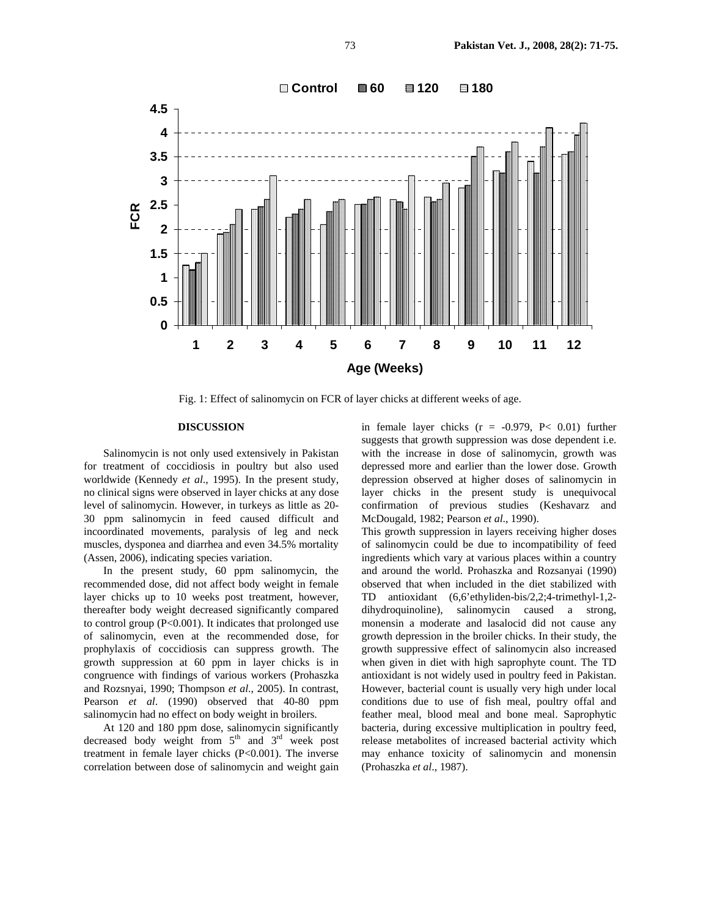

Fig. 1: Effect of salinomycin on FCR of layer chicks at different weeks of age.

# **DISCUSSION**

Salinomycin is not only used extensively in Pakistan for treatment of coccidiosis in poultry but also used worldwide (Kennedy *et al*., 1995). In the present study, no clinical signs were observed in layer chicks at any dose level of salinomycin. However, in turkeys as little as 20- 30 ppm salinomycin in feed caused difficult and incoordinated movements, paralysis of leg and neck muscles, dysponea and diarrhea and even 34.5% mortality (Assen, 2006), indicating species variation.

In the present study, 60 ppm salinomycin, the recommended dose, did not affect body weight in female layer chicks up to 10 weeks post treatment, however, thereafter body weight decreased significantly compared to control group (P<0.001). It indicates that prolonged use of salinomycin, even at the recommended dose, for prophylaxis of coccidiosis can suppress growth. The growth suppression at 60 ppm in layer chicks is in congruence with findings of various workers (Prohaszka and Rozsnyai, 1990; Thompson *et al*., 2005). In contrast, Pearson *et al*. (1990) observed that 40-80 ppm salinomycin had no effect on body weight in broilers.

At 120 and 180 ppm dose, salinomycin significantly decreased body weight from  $5<sup>th</sup>$  and  $3<sup>rd</sup>$  week post treatment in female layer chicks (P<0.001). The inverse correlation between dose of salinomycin and weight gain in female layer chicks  $(r = -0.979, P < 0.01)$  further suggests that growth suppression was dose dependent i.e. with the increase in dose of salinomycin, growth was depressed more and earlier than the lower dose. Growth depression observed at higher doses of salinomycin in layer chicks in the present study is unequivocal confirmation of previous studies (Keshavarz and McDougald, 1982; Pearson *et al*., 1990).

This growth suppression in layers receiving higher doses of salinomycin could be due to incompatibility of feed ingredients which vary at various places within a country and around the world. Prohaszka and Rozsanyai (1990) observed that when included in the diet stabilized with TD antioxidant (6,6'ethyliden-bis/2,2;4-trimethyl-1,2 dihydroquinoline), salinomycin caused a strong, monensin a moderate and lasalocid did not cause any growth depression in the broiler chicks. In their study, the growth suppressive effect of salinomycin also increased when given in diet with high saprophyte count. The TD antioxidant is not widely used in poultry feed in Pakistan. However, bacterial count is usually very high under local conditions due to use of fish meal, poultry offal and feather meal, blood meal and bone meal. Saprophytic bacteria, during excessive multiplication in poultry feed, release metabolites of increased bacterial activity which may enhance toxicity of salinomycin and monensin (Prohaszka *et al*., 1987).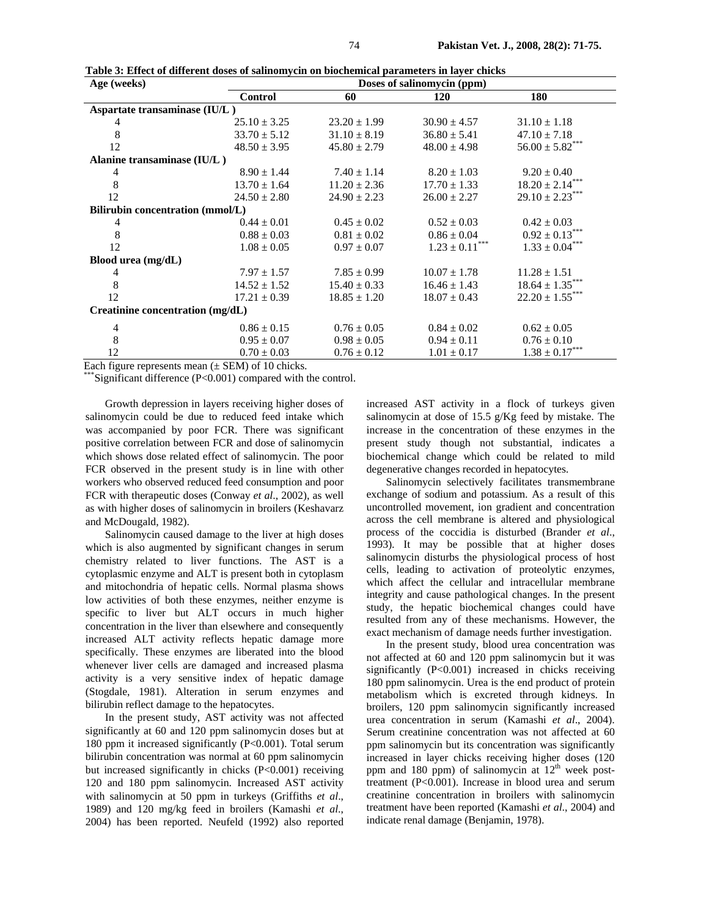| Age (weeks)                      |                  | Doses of salinomycin (ppm) |                       |                       |  |  |
|----------------------------------|------------------|----------------------------|-----------------------|-----------------------|--|--|
|                                  | Control          | 60                         | <b>120</b>            | 180                   |  |  |
| Aspartate transaminase (IU/L)    |                  |                            |                       |                       |  |  |
| 4                                | $25.10 \pm 3.25$ | $23.20 \pm 1.99$           | $30.90 \pm 4.57$      | $31.10 \pm 1.18$      |  |  |
| 8                                | $33.70 \pm 5.12$ | $31.10 \pm 8.19$           | $36.80 \pm 5.41$      | $47.10 \pm 7.18$      |  |  |
| 12                               | $48.50 \pm 3.95$ | $45.80 \pm 2.79$           | $48.00 \pm 4.98$      | $56.00 \pm 5.82***$   |  |  |
| Alanine transaminase (IU/L)      |                  |                            |                       |                       |  |  |
| 4                                | $8.90 \pm 1.44$  | $7.40 \pm 1.14$            | $8.20 \pm 1.03$       | $9.20 \pm 0.40$       |  |  |
| 8                                | $13.70 \pm 1.64$ | $11.20 \pm 2.36$           | $17.70 \pm 1.33$      | $18.20 \pm 2.14***$   |  |  |
| 12                               | $24.50 \pm 2.80$ | $24.90 \pm 2.23$           | $26.00 \pm 2.27$      | $29.10 \pm 2.23***$   |  |  |
| Bilirubin concentration (mmol/L) |                  |                            |                       |                       |  |  |
| 4                                | $0.44 \pm 0.01$  | $0.45 \pm 0.02$            | $0.52 \pm 0.03$       | $0.42 \pm 0.03$       |  |  |
| 8                                | $0.88 \pm 0.03$  | $0.81 \pm 0.02$            | $0.86 \pm 0.04$       | $0.92 \pm 0.13***$    |  |  |
| 12                               | $1.08 \pm 0.05$  | $0.97 \pm 0.07$            | $1.23 \pm 0.11^{***}$ | $1.33 \pm 0.04^{***}$ |  |  |
| Blood urea (mg/dL)               |                  |                            |                       |                       |  |  |
| 4                                | $7.97 \pm 1.57$  | $7.85 \pm 0.99$            | $10.07 \pm 1.78$      | $11.28 \pm 1.51$      |  |  |
| $\,8\,$                          | $14.52 \pm 1.52$ | $15.40 \pm 0.33$           | $16.46 \pm 1.43$      | $18.64 \pm 1.35***$   |  |  |
| 12                               | $17.21 \pm 0.39$ | $18.85 \pm 1.20$           | $18.07 \pm 0.43$      | $22.20 \pm 1.55***$   |  |  |
| Creatinine concentration (mg/dL) |                  |                            |                       |                       |  |  |
| 4                                | $0.86 \pm 0.15$  | $0.76 \pm 0.05$            | $0.84 \pm 0.02$       | $0.62 \pm 0.05$       |  |  |
| 8                                | $0.95 \pm 0.07$  | $0.98 \pm 0.05$            | $0.94 \pm 0.11$       | $0.76 \pm 0.10$       |  |  |
| 12                               | $0.70 \pm 0.03$  | $0.76 \pm 0.12$            | $1.01 \pm 0.17$       | $1.38 \pm 0.17^{***}$ |  |  |

**Table 3: Effect of different doses of salinomycin on biochemical parameters in layer chicks** 

Each figure represents mean  $(\pm$  SEM) of 10 chicks.

Significant difference  $(P<0.001)$  compared with the control.

Growth depression in layers receiving higher doses of salinomycin could be due to reduced feed intake which was accompanied by poor FCR. There was significant positive correlation between FCR and dose of salinomycin which shows dose related effect of salinomycin. The poor FCR observed in the present study is in line with other workers who observed reduced feed consumption and poor FCR with therapeutic doses (Conway *et al*., 2002), as well as with higher doses of salinomycin in broilers (Keshavarz and McDougald, 1982).

Salinomycin caused damage to the liver at high doses which is also augmented by significant changes in serum chemistry related to liver functions. The AST is a cytoplasmic enzyme and ALT is present both in cytoplasm and mitochondria of hepatic cells. Normal plasma shows low activities of both these enzymes, neither enzyme is specific to liver but ALT occurs in much higher concentration in the liver than elsewhere and consequently increased ALT activity reflects hepatic damage more specifically. These enzymes are liberated into the blood whenever liver cells are damaged and increased plasma activity is a very sensitive index of hepatic damage (Stogdale, 1981). Alteration in serum enzymes and bilirubin reflect damage to the hepatocytes.

In the present study, AST activity was not affected significantly at 60 and 120 ppm salinomycin doses but at 180 ppm it increased significantly (P<0.001). Total serum bilirubin concentration was normal at 60 ppm salinomycin but increased significantly in chicks (P<0.001) receiving 120 and 180 ppm salinomycin. Increased AST activity with salinomycin at 50 ppm in turkeys (Griffiths *et al*., 1989) and 120 mg/kg feed in broilers (Kamashi *et al*., 2004) has been reported. Neufeld (1992) also reported increased AST activity in a flock of turkeys given salinomycin at dose of 15.5 g/Kg feed by mistake. The increase in the concentration of these enzymes in the present study though not substantial, indicates a biochemical change which could be related to mild degenerative changes recorded in hepatocytes.

Salinomycin selectively facilitates transmembrane exchange of sodium and potassium. As a result of this uncontrolled movement, ion gradient and concentration across the cell membrane is altered and physiological process of the coccidia is disturbed (Brander *et al*., 1993). It may be possible that at higher doses salinomycin disturbs the physiological process of host cells, leading to activation of proteolytic enzymes, which affect the cellular and intracellular membrane integrity and cause pathological changes. In the present study, the hepatic biochemical changes could have resulted from any of these mechanisms. However, the exact mechanism of damage needs further investigation.

In the present study, blood urea concentration was not affected at 60 and 120 ppm salinomycin but it was significantly (P<0.001) increased in chicks receiving 180 ppm salinomycin. Urea is the end product of protein metabolism which is excreted through kidneys. In broilers, 120 ppm salinomycin significantly increased urea concentration in serum (Kamashi *et al*., 2004). Serum creatinine concentration was not affected at 60 ppm salinomycin but its concentration was significantly increased in layer chicks receiving higher doses (120 ppm and 180 ppm) of salinomycin at  $12<sup>th</sup>$  week posttreatment (P<0.001). Increase in blood urea and serum creatinine concentration in broilers with salinomycin treatment have been reported (Kamashi *et al*., 2004) and indicate renal damage (Benjamin, 1978).